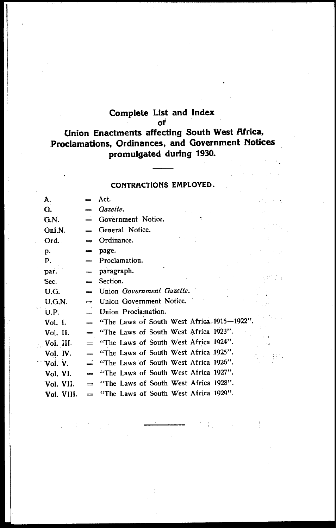# **Complete List and Index**

**of** 

#### **Union Enactments affecting South West Africa, Proclamaticms, Ordinances, and Government Notices promulgated during 1930.**  is bi

#### **CONTRACTIONS EMPLOYED.**

 $\mathcal{L}^{\mathcal{A}}$ 

V.

ξÙ

| А.         |                                | Act.                                       |
|------------|--------------------------------|--------------------------------------------|
| G.         | $=$                            | Gazette.                                   |
| G.N.       |                                | Government Notice.                         |
| Gnl.N.     |                                | General Notice.                            |
| Ord.       | $=$                            | Ordinance.                                 |
| p.         | $=$                            | page.                                      |
| Р.         | $=$                            | Proclamation.                              |
| par.       | $=$                            | paragraph.                                 |
| Sec.       | $=$                            | Section.                                   |
| U.G.       | $=$                            | Union Government Gazette.                  |
| U.G.N.     | $=$                            | Union Government Notice.                   |
| U.P.       | $=$                            | Union Proclamation.                        |
| Vol. I.    | $=$                            | "The Laws of South West Africa 1915-1922". |
| Vol. II.   | $=$                            | "The Laws of South West Africa 1923".      |
| Vol. III.  | $=$                            | "The Laws of South West Africa 1924".      |
| Vol. IV.   | $\qquad \qquad =\qquad \qquad$ | "The Laws of South West Africa 1925".      |
| Vol. V.    | ≟                              | "The Laws of South West Africa 1926".      |
| Vol. VI.   | $=$                            | "The Laws of South West Africa 1927".      |
| Vol. VII.  | $\equiv$                       | "The Laws of South West Africa 1928".      |
| Vol. VIII. |                                | "The Laws of South West Africa 1929".      |

 $\mathbb{Z} \times \mathbb{Z}$ 

 $\vec{u}$ 

 $\mathbb{E}[\mathbb{E}[\mathbb{E}[\mathbb{E}[\mathbb{E}])]$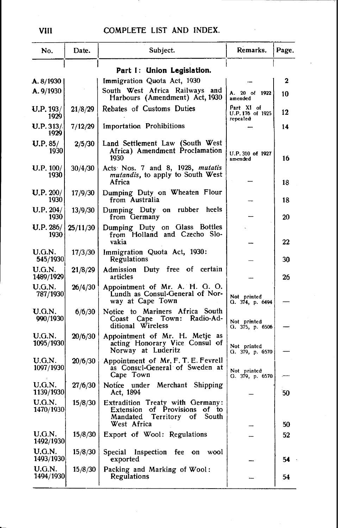| No.                        | Date.    | Subject.                                                                                                              | Remarks.                                  | Page. |  |
|----------------------------|----------|-----------------------------------------------------------------------------------------------------------------------|-------------------------------------------|-------|--|
| Part I: Union Legislation. |          |                                                                                                                       |                                           |       |  |
| A. 8/1930                  |          | Immigration Quota Act, 1930                                                                                           |                                           | 2     |  |
| A. 9/1930                  |          | South West Africa Railways and<br>Harbours (Amendment) Act, 1930                                                      | A. 20 of 1922<br>amended                  | 10    |  |
| U.P. 193/<br>1929          | 21/8/29  | Rebates of Customs Duties                                                                                             | Part XI of<br>U.P.176 of 1925<br>repealed | 12    |  |
| U.P.313/<br>1929           | 7/12/29  | <b>Importation Prohibitions</b>                                                                                       |                                           | 14    |  |
| $U.P. 85/$<br>1930         | 2/5/30   | Land Settlement Law (South West<br>Africa) Amendment Proclamation<br>1930                                             | U.P. 310 of 1927<br>amended               | 16    |  |
| U.P. 100/<br>1930          | 30/4/30  | Acts Nos. 7 and 8, 1928, mutatis<br>mutandis, to apply to South West<br>Africa                                        |                                           | 18    |  |
| U.P. 200/<br>1930          | 17/9/30  | Dumping Duty on Wheaten Flour<br>from Australia                                                                       |                                           | 18    |  |
| U.P. 204/<br>1930          | 13/9/30  | Dumping Duty on rubber heels<br>from Germany                                                                          |                                           | 20    |  |
| <b>U.P. 286/</b><br>1930   | 25/11/30 | Dumping Duty on Glass Bottles<br>from Holland and Czecho Slo-<br>vakia                                                |                                           | 22    |  |
| U.G.N.<br>545/1930         | 17/3/30  | Immigration Quota Act, 1930:<br>Regulations                                                                           |                                           | 30    |  |
| U.G.N.<br>1489/1929        | 21/8/29  | Admission Duty free of certain<br>articles                                                                            |                                           | 26    |  |
| U.G.N.<br>787/1930         | 26/4/30  | Appointment of Mr. A. H. G. O.<br>Lundh as Consul-General of Nor-<br>way at Cape Town                                 | Not printed<br>G. 374, p. 6494            |       |  |
| U.G.N.<br>990/1930         | 6/6/30   | Notice to Mariners Africa South<br>Radio-Ad-<br>Coast Cape Town:<br>ditional Wireless                                 | Not printed<br>G. 375, p. 6506            |       |  |
| U.G.N.<br>1095/1930        | 20/6/30  | Appointment of Mr. H. Metje as<br>acting Honorary Vice Consul of<br>Norway at Luderitz                                | Not printed<br>G. 379, p. 6570            |       |  |
| U.G.N.<br>1097/1930        | 20/6/30  | Appointment of Mr. F. T. E. Fevrell<br>as Consul-General of Sweden at<br>Cape Town                                    | Not printed<br>G. $379$ , p. $6570$       |       |  |
| U.G.N.<br>1139/1930        | 27/6/30  | Notice under Merchant Shipping<br>Act, 1894                                                                           |                                           | 50    |  |
| U.G.N.<br><b>1470/1930</b> | 15/8/30  | Extradition Treaty with Germany:<br>Extension of Provisions of to<br>Mandated Territory<br>South<br>of<br>West Africa |                                           | 50    |  |
| U.G.N.<br>1492/1930        | 15/8/30  | Export of Wool: Regulations                                                                                           |                                           | 52    |  |
| <b>U.G.N.</b><br>1493/1930 | 15/8/30  | Inspection fee on<br>Special<br>wool<br>exported                                                                      |                                           | 54    |  |
| U.G.N.<br>1494/1930        | 15/8/30  | Packing and Marking of Wool:<br>Regulations                                                                           |                                           | 54    |  |
|                            |          |                                                                                                                       |                                           |       |  |

VIII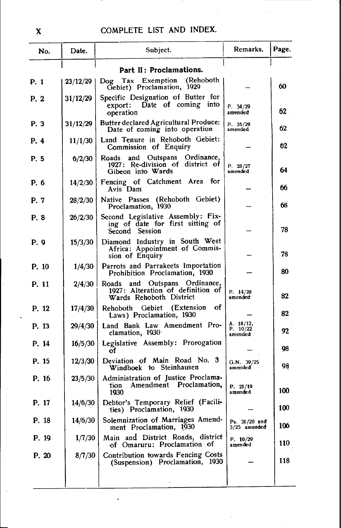| No.   | Date.    | Subject.                                                                                      | Remarks.                         | Page. |
|-------|----------|-----------------------------------------------------------------------------------------------|----------------------------------|-------|
|       |          | Part II: Proclamations.                                                                       |                                  |       |
| P. 1  | 23/12/29 | Dog Tax Exemption (Rehoboth<br>Gebiet) Proclamation, 1929                                     |                                  | 60    |
| P. 2  | 31/12/29 | Specific Designation of Butter for<br>export: Date of coming into<br>operation                | P. 34/29<br>amended              | 62    |
| P. 3  | 31/12/29 | <b>Butter declared Agricultural Produce:</b><br>Date of coming into operation                 | P. 35/29<br>amended              | 62    |
| P. 4  | 11/1/30  | Land Tenure in Rehoboth Gebiet:<br>Commission of Enquiry                                      |                                  | 62    |
| P. 5  | 6/2/30   | Ordinance.<br>and Outspans<br>Roads<br>1927: Re-division of district of<br>Gibeon into Wards  | P. 28/27<br>amended              | 64    |
| P. 6  | 14/2/30  | Fencing of Catchment Area for<br>Avis Dam                                                     |                                  | 66    |
| P. 7  | 28/2/30  | (Rehoboth Gebiet)<br>Native Passes<br>Proclamation, 1930                                      |                                  | 68    |
| P. 8  | 26/2/30  | Second Legislative Assembly: Fix-<br>ing of date for first sitting of<br>Second Session       |                                  | 78    |
| P. 9  | 15/3/30  | Diamond Industry in South West<br>Africa: Appointment of Commis-<br>sion of Enquiry           |                                  | 78    |
| P. 10 | 1/4/30   | Parrots and Parrakeets Importation<br>Prohibition Proclamation, 1930                          |                                  | 80    |
| P. 11 | 2/4/30   | Roads and Outspans Ordinance,<br>1927: Alteration of definition of<br>Wards Rehoboth District | P. 14/28<br>amended              | 82    |
| P. 12 | 17/4/30  | Rehoboth Gebiet (Extension<br>οf<br>Laws) Proclamation, 1930                                  |                                  | 82    |
| P. 13 | 29/4/30  | Land Bank Law Amendment Pro-<br>clamation, 1930                                               | A. 18/12,<br>P. 10/22<br>amended | 92    |
| P. 14 | 16/5/30  | Legislative Assembly: Prorogation<br>оf                                                       |                                  | 98    |
| P. 15 | 12/3/30  | Deviation of Main Road No. 3<br>Windhoek to Steinhausen                                       | G.N. 39/25<br>amended            | 98    |
| P. 16 | 23/5/30  | Administration of Justice Proclama.<br>Amendment Proclamation,<br>tion<br>1930                | P. 21/19<br>amended              | 100   |
| P. 17 | 14/6/30  | Debtor's Temporary Relief (Facili-<br>ties) Proclamation, 1930                                |                                  | ΙW    |
| P. 18 | 14/6/30  | Solemnization of Marriages Amend-<br>ment Proclamation, 1930                                  | Ps. 31/20 and<br>$3/25$ amended  | 106.  |
| P. 19 | 1/7/30   | Main and District Roads, district<br>of Omaruru: Proclamation of                              | P. 10/29<br>amended              | 110   |
| P. 20 | 8/7/30   | Contribution towards Fencing Costs<br>(Suspension) Proclamation, 1930                         |                                  | 118   |
|       |          |                                                                                               |                                  |       |

 $\ddot{\phantom{0}}$ 

 $\mathbf{X}^{\text{max}}$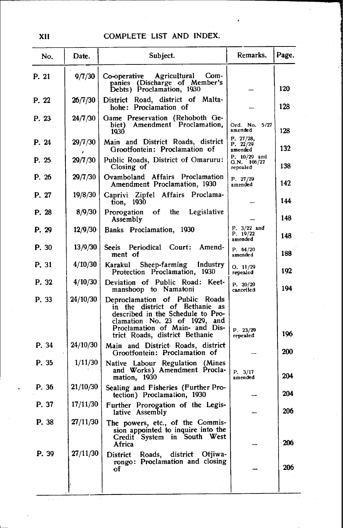| No.   | Date.    | Subject.                                                                                                                                                                                                   | Remarks.                                  | Page. |
|-------|----------|------------------------------------------------------------------------------------------------------------------------------------------------------------------------------------------------------------|-------------------------------------------|-------|
| P. 21 | 9/7/30   | Co-operative Agricultural<br>Com-<br>panies (Discharge of Member's<br>Debts) Proclamation, 1930                                                                                                            |                                           | 120   |
| P. 22 | 26/7/30  | District Road, district of Malta-<br>hohe: Proclamation of                                                                                                                                                 |                                           | 128   |
| P. 23 | 24/7/30  | Game Preservation (Rehoboth Ge-<br>biet) Amendment Proclamation,<br>1930                                                                                                                                   | Ord. No. 5/27<br>amended                  | 128   |
| P. 24 | 29/7/30  | Main and District Roads, district<br>Grootfontein: Proclamation of                                                                                                                                         | P. 27/28,<br>P. 22/29<br>amended          | 132   |
| P. 25 | 29/7/30  | Public Roads, District of Omaruru:<br>Closing of                                                                                                                                                           | P. $10/29$ and<br>G.N. 106/27<br>repealed | 138   |
| P. 26 | 29/7/30  | Ovamboland Affairs Proclamation<br>Amendment Proclamation, 1930                                                                                                                                            | P. 27/29<br>amended                       | 142   |
| P. 27 | 19/8/30  | Caprivi Zipfel Affairs Proclama-<br>tion, 1930                                                                                                                                                             |                                           | 144   |
| P. 28 | 8/9/30   | Legislative<br>Prorogation<br>оf<br>the<br>Assembly                                                                                                                                                        |                                           | 148   |
| P. 29 | 12/9/30  | Banks Proclamation, 1930                                                                                                                                                                                   | $P. 3/22$ and<br>P. 19/22<br>amended      | 148   |
| P. 30 | 13/9/30  | Seeis Periodical Court: Amend-<br>ment of                                                                                                                                                                  | P. 64/20<br>amended                       | 188   |
| P. 31 | 4/10/30  | Karakul Sheep-farming Industry<br>Protection Proclamation, 1930                                                                                                                                            | O. 11/29<br>repealed                      | 192   |
| P. 32 | 4/10/30  | Deviation of Public Road: Keet-<br>manshoop to Namatoni                                                                                                                                                    | P. 20/29<br>cancelled                     | 194   |
| P. 33 | 24/10/30 | Deproclamation of Public Roads<br>in the district of Bethanie as<br>described in the Schedule to Pro-<br>clamation No. 23 of 1929, and<br>Proclamation of Main- and Dis-<br>trict Roads, district Bethanie | P. 23/29<br>repealed                      | 196   |
| P. 34 | 24/10/30 | Main and District Roads, district<br>Grootfontein: Proclamation of                                                                                                                                         |                                           | 200   |
| P. 35 | 1/11/30  | Native Labour Regulation (Mines<br>and Works) Amendment Procla-<br>mation, 1930                                                                                                                            | P. 3/17<br>amended                        | 204   |
| P. 36 | 21/10/30 | Sealing and Fisheries (Further Pro-<br>tection) Proclamation, 1930                                                                                                                                         |                                           | 204   |
| P. 37 | 17/11/30 | Further Prorogation of the Legis-<br>lative Assembly                                                                                                                                                       |                                           | 206   |
| P. 38 | 27/11/30 | The powers, etc., of the Commis-<br>sion appointed to inquire into the<br>Credit System in South<br>West<br>Africa                                                                                         |                                           | 206   |
| P. 39 | 27/11/30 | district<br>District<br>Roads,<br>Otjiwa-<br>rongo: Proclamation and closing<br>οf                                                                                                                         |                                           | 206   |
|       |          |                                                                                                                                                                                                            |                                           |       |

XII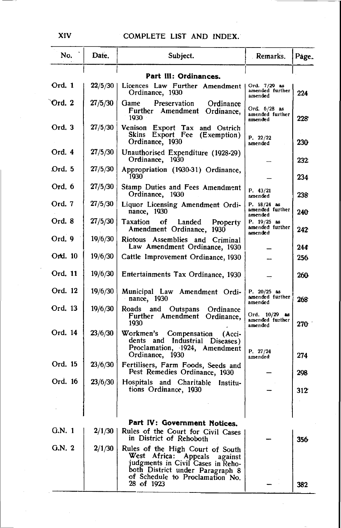| No.     | Date.   | Subject.                                                                                                                                                                                     | . Remarks.                                    | Page. |
|---------|---------|----------------------------------------------------------------------------------------------------------------------------------------------------------------------------------------------|-----------------------------------------------|-------|
|         |         | Part III: Ordinances.                                                                                                                                                                        |                                               |       |
| Ord. 1  | 22/5/30 | Licences Law Further Amendment<br>Ordinance, 1930                                                                                                                                            | Ord. 7/29 as<br>amended further<br>amended    | 224   |
| Ord. 2  | 27/5/30 | Preservation<br>Game<br>Ordinance<br>Further Amendment<br>Ordinance,<br>1930                                                                                                                 | Ord. 6/28 as<br>amended further<br>amended    | 228   |
| Ord. 3  | 27/5/30 | Venison Export Tax and Ostrich<br>Skins Export Fee (Exemption)<br>Ordinance, 1930                                                                                                            | P. 22/22<br>amended                           | 230   |
| Ord. 4  | 27/5/30 | Unauthorised Expenditure (1928-29)<br>Ordinance, 1930                                                                                                                                        |                                               | 232   |
| Ord. 5  | 27/5/30 | Appropriation (1930-31) Ordinance,<br>1930                                                                                                                                                   |                                               | 234   |
| Ord. 6  | 27/5/30 | Stamp Duties and Fees Amendment<br>Ordinance, 1930                                                                                                                                           | P. 43/21<br>amended                           | 238   |
| Ord. 7  | 27/5/30 | Liquor Licensing Amendment Ordi-<br>nance, 1930                                                                                                                                              | P. 18/24 as<br>amended further<br>amended     | 240   |
| Ord. 8  | 27/5/30 | Taxation<br>οf<br>Landed<br>Property<br>Amendment Ordinance,<br>1930                                                                                                                         | P. $19/25$ as<br>amended further<br>amended   | 242   |
| Ord. 9  | 19/6/30 | Riotous Assemblies and Criminal<br>Law Amendment Ordinance, 1930                                                                                                                             |                                               | 244   |
| Ord. 10 | 19/6/30 | Cattle Improvement Ordinance, 1930                                                                                                                                                           |                                               | 256   |
| Ord. 11 | 19/6/30 | Entertainments Tax Ordinance, 1930                                                                                                                                                           |                                               | 260   |
| Ord. 12 | 19/6/30 | Municipal Law Amendment Ordi-<br>nance, 1930                                                                                                                                                 | P. $20/25$ as<br>amended further<br>amended   | 268   |
| Ord. 13 | 19/6/30 | Roads and Outspans<br>Ordinance<br>Further Amendment<br>Ordinance,<br>1930                                                                                                                   | Ord. $10/29$ as<br>amended further<br>amended | 270-  |
| Ord. 14 | 23/6/30 | Workmen's Compensation<br>(Acci-<br>dents and Industrial Diseases)<br>Proclamation, 1924, Amendment<br>Ordinance, 1930                                                                       | P. 27/24<br>amended                           | 274   |
| Ord. 15 | 23/6/30 | Fertilisers, Farm Foods, Seeds and<br>Pest Remedies Ordinance, 1930                                                                                                                          |                                               | 298   |
| Ord. 16 | 23/6/30 | Hospitals and Charitable<br>Institu-<br>tions Ordinance, 1930                                                                                                                                |                                               | 312   |
|         |         |                                                                                                                                                                                              |                                               |       |
|         |         | Part IV: Government Notices.                                                                                                                                                                 |                                               |       |
| G.N. 1  | 2/1/30  | Rules of the Court for Civil Cases<br>in District of Rehoboth                                                                                                                                |                                               | 356   |
| G.N.2   | 2/1/30  | Rules of the High Court of South<br>West Africa: Appeals<br>against<br>judgments in Civil Cases in Reho-<br>both District under Paragraph 8<br>of Schedule to Proclamation No.<br>28 of 1923 |                                               | 382   |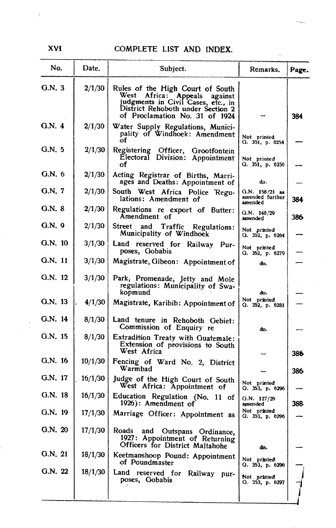| No.       | Date.   | Subject.                                                                                                                                                                               | Remarks.                                     | Page. |
|-----------|---------|----------------------------------------------------------------------------------------------------------------------------------------------------------------------------------------|----------------------------------------------|-------|
| Q.N.3     | 2/1/30  | Rules of the High Court of South<br>Africa:<br>West<br>Appeals<br>against<br>judgments in Civil Cases, etc., in<br>District Rehoboth under Section 2<br>of Proclamation No. 31 of 1924 |                                              | 384   |
| G.N. 4    | 2/1/30  | Water Supply Regulations, Munici-<br>pality of Windhoek: Amendment<br>of                                                                                                               | Not printed<br>0.351, p.6254                 |       |
| G.N.5     | 2/1/30  | Registering Officer, Grootfontein<br>Electoral Division: Appointment<br>of                                                                                                             | Not printed<br>G. 351, p. 6256               |       |
| G.N. 6    | 2/1/30  | Acting Registrar of Births, Marri-<br>ages and Deaths: Appointment of                                                                                                                  | do.                                          |       |
| G.N. 7    | 2/1/30  | South West Africa Police Regu-<br>lations: Amendment of                                                                                                                                | Q.N. 158/21 as<br>amended further<br>amended | 384   |
| G.N. 8    | 2/1/30  | Regulations re export of Butter:<br>Amendment of                                                                                                                                       | G.N. 148/29<br>amended                       | 386   |
| G.N.9     | 2/1/30  | Street<br>and<br>Traffic<br>Regulations:<br>Municipality of Windhock                                                                                                                   | Not printed<br>Q.352, p.6264                 |       |
| $G.N.$ 10 | 3/1/30  | Land reserved for Railway Pur-<br>poses, Gobabis                                                                                                                                       | Not printed<br>G. 352, p. 6279               |       |
| G.N. 11   | 3/1/30  | Magistrate, Gibeon: Appointment of                                                                                                                                                     | do.                                          |       |
| G.N. 12   | 3/1/30  | Park, Promenade, Jetty and Mole<br>regulations: Municipality of Swa-<br>kopmund                                                                                                        | do.                                          |       |
| G.N. 13   | 4/1/30  | Magistrate, Karibib: Appointment of                                                                                                                                                    | Not pränted<br>G. 352, p. 6281               |       |
| G.N. 14   | 8/1/30  | Land tenure in Rehoboth Gebiet:<br>Commission of Enquiry re                                                                                                                            | do.                                          |       |
| G.N. 15   | 8/1/30  | Extradition Treaty with Guatemale:<br>Extension of provisions to South<br>West Africa                                                                                                  |                                              | 386   |
| G.N. 16   | 10/1/30 | Fencing of Ward No. 2, District<br>Warmbad                                                                                                                                             |                                              | 386   |
| G.N. 17   | 16/1/30 | Judge of the High Court of South<br>West Africa: Appointment of                                                                                                                        | Not printed<br>G. 353, p. 6296               |       |
| G.N. 18   | 16/1/30 | Education Regulation (No. 11 of<br>1926): Amendment of                                                                                                                                 | G.N. $127/26$<br>amended                     | 388   |
| G.N. 19   | 17/1/30 | Marriage Officer: Appointment as                                                                                                                                                       | Not printed<br>$Q.$ 353, p. 6296             |       |
| G.N. 20   | 17/1/30 | Roads<br>and Outspans Ordinance,<br>1927: Appointment of Returning<br>Officers for District Maltahohe                                                                                  | đo.                                          |       |
| G.N. 21   | 18/1/30 | Keetmanshoop Pound: Appointment<br>of Poundmaster                                                                                                                                      | Not printed<br>G. 353, p. 6296               |       |
| G.N. 22   | 18/1/30 | Land reserved for<br>Railway pur-<br>poses, Gobabis                                                                                                                                    | Not printed<br>G. 353, p. 6297               |       |
|           |         |                                                                                                                                                                                        |                                              |       |

XVI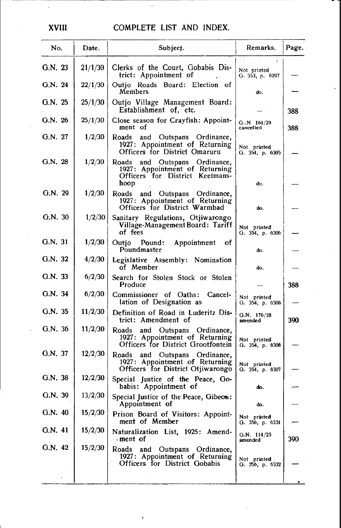| No.     | Date.   | Subject.                                                                                                      | Remarks.                       | Page. |
|---------|---------|---------------------------------------------------------------------------------------------------------------|--------------------------------|-------|
| G.N. 23 | 21/1/30 | Clerks of the Court, Gobabis Dis-<br>trict: Appointment of                                                    | Not printed<br>G. 353, p. 6297 |       |
| G.N. 24 | 22/1/30 | Outio Roads Board: Election of<br>Members                                                                     | do.                            |       |
| G.N. 25 | 25/1/30 | Outjo Village Management Board:<br>Establishment of, etc.                                                     |                                | 388   |
| G.N. 26 | 25/1/30 | Close season for Crayfish: Appoint-<br>ment of                                                                | $G.N$ 164/29<br>cancelled      | 388   |
| G.N. 27 | 1/2/30  | Roads<br>and Outspans Ordinance,<br>1927: Appointment of Returning<br>Officers for District Omaruru           | Not printed<br>0.354, p.6305   |       |
| G.N. 28 | 1/2/30  | and Outspans Ordinance,<br>Roads<br>1927: Appointment of Returning<br>Officers for District Keetmans-<br>hoop | do.                            |       |
| G.N. 29 | 1/2/30  | Roads<br>and Outspans Ordinance,<br>1927: Appointment of Returning<br>Officers for District Warmbad           | do.                            |       |
| G.N. 30 | 1/2/30  | Sanitary Regulations, Otjiwarongo<br>Village-Management Board: Tariff<br>of fees                              | Not printed<br>G. 354, p. 6306 |       |
| G.N. 31 | 1/2/30  | Outjo Pound:<br>Appointment<br>οf<br>Poundmaster                                                              | do.                            |       |
| G.N. 32 | 4/2/30  | Legislative Assembly: Nomination<br>of Member                                                                 | do.                            |       |
| G.N. 33 | 6/2/30  | Search for Stolen Stock or Stolen<br>Produce                                                                  |                                | 388   |
| G.N. 34 | 6/2/30  | Commissioner of Oaths:<br>Cancel-<br>lation of Designation as                                                 | Not printed<br>G. 354, p. 6306 |       |
| G.N. 35 | 11/2/30 | Definition of Road in Luderitz Dis-<br>trict: Amendment of                                                    | G.N. 176/28<br>amended         | 390   |
| G.N. 36 | 11/2/30 | Roads and Outspans Ordinance,<br>1927: Appointment of Returning<br>Officers for District Grootfontein         | Not printed<br>G. 354, p. 6306 |       |
| G.N. 37 | 12/2/30 | Roads<br>and Outspans Ordinance,<br>1927: Appointment of Returning<br>Officers for District Otiiwarongo       | Not printed<br>G. 354, p. 6307 |       |
| G.N. 38 | 12/2/30 | Special Justice of the Peace, Go-<br>babis: Appointment of                                                    | đo.                            |       |
| G.N.39  | 13/2/30 | Special Justice of the Peace, Gibeon:<br>Appointment of                                                       | do.                            |       |
| G.N. 40 | 15/2/30 | Prison Board of Visitors: Appoint-<br>ment of Member                                                          | Not printed<br>G. 356, p. 6331 |       |
| G.N. 41 | 15/2/30 | Naturalization List, 1925: Amend-<br>ment of                                                                  | G.N. $114/25$<br>amended       | 390   |
| G.N. 42 | 15/2/30 | Roads<br>and Outspans Ordinance,<br>1927: Appointment of Returning<br>Officers for District Gobabis           | Not printed<br>G. 356, p. 6332 |       |

XVIII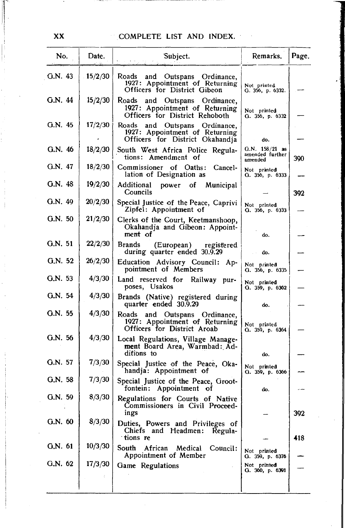| No.     | Date.   | Subject.                                                                                              | Remarks.                                          | Page. |
|---------|---------|-------------------------------------------------------------------------------------------------------|---------------------------------------------------|-------|
| G.N. 43 | 15/2/30 | Roads<br>and Outspans Ordinance,<br>1927: Appointment of Returning<br>Officers for District Gibeon    | Not printed<br>G. 356, p. 6332.                   |       |
| G.N. 44 | 15/2/30 | Roads<br>and Outspans Ordinance,<br>1927: Appointment of Returning<br>Officers for District Rehoboth  | Not printed<br>G. 356, p. 6332                    |       |
| G.N. 45 | 17/2/30 | Roads<br>and Outspans Ordinance,<br>1927: Appointment of Returning<br>Officers for District Okahandia | do.                                               |       |
| G.N. 46 | 18/2/30 | South West Africa Police Regula-<br>tions: Amendment of                                               | Q.N. 158/21 as<br>amended further<br>amended      | 390   |
| G.N. 47 | 18/2/30 | Commissioner of Oaths:<br>Cancel-<br>lation of Designation as                                         | Not printed<br>G. 356, p. 6333                    |       |
| G.N.48  | 19/2/30 | Additional<br>power of<br>Municipal<br>Councils                                                       |                                                   | 392   |
| G.N. 49 | 20/2/30 | Special Justice of the Peace, Caprivi<br>Zipfel: Appointment of                                       | Not printed<br>G. 356, p. 6333                    |       |
| G.N.50  | 21/2/30 | Clerks of the Court, Keetmanshoop,<br>Okahandja and Gibeon: Appoint-<br>ment of                       | do.                                               |       |
| G.N. 51 | 22/2/30 | <b>Brands</b><br>(European) registered<br>during quarter ended 30.9.29                                | do.                                               |       |
| G.N. 52 | 26/2/30 | Education Advisory Council: Ap-<br>pointment of Members                                               | Not printed<br>G. 356, p. 6335                    |       |
| G.N. 53 | 4/3/30  | Land reserved for Railway pur-<br>poses, Usakos                                                       | Not printed<br>G. 359, p. 6362                    |       |
| G.N. 54 | 4/3/30  | Brands (Native) registered during<br>quarter ended 30.9.29                                            | đο.                                               |       |
| G.N. 55 | 4/3/30  | Roads and Outspans Ordinance,<br>1927: Appointment of Returning<br>Officers for District Aroab        | Not printed<br>G. 359, p. 6364                    |       |
| G.N. 56 | 4/3/30  | Local Regulations, Village Manage-<br>ment Board Area, Warmbad: Ad-<br>difions to                     | do.                                               |       |
| G.N. 57 | 7/3/30  | Special Justice of the Peace, Oka-<br>handja: Appointment of                                          | Not printed<br>G. 359, p. 6366                    |       |
| G.N. 58 | 7/3/30  | Special Justice of the Peace, Groot-<br>fontein: Appointment<br>of                                    | do.                                               |       |
| G.N. 59 | 8/3/30  | Regulations for Courts of Native<br>Commissioners in Civil Proceed-<br>ings                           |                                                   | 392   |
| G.N. 60 | 8/3/30  | Duties, Powers and Privileges of<br>Chiefs and Headmen:<br>Regula-<br>∵tions re                       |                                                   | 418   |
| G.N. 61 | 10/3/30 | South<br>African Medical<br>Council:<br><b>Appointment of Member</b>                                  | Not printed                                       |       |
| G.N. 62 | 17/3/30 | Game Regulations                                                                                      | G. 359, p. 6376<br>Not printed<br>G. 360, p. 6391 |       |
|         |         |                                                                                                       |                                                   |       |

 $XX$